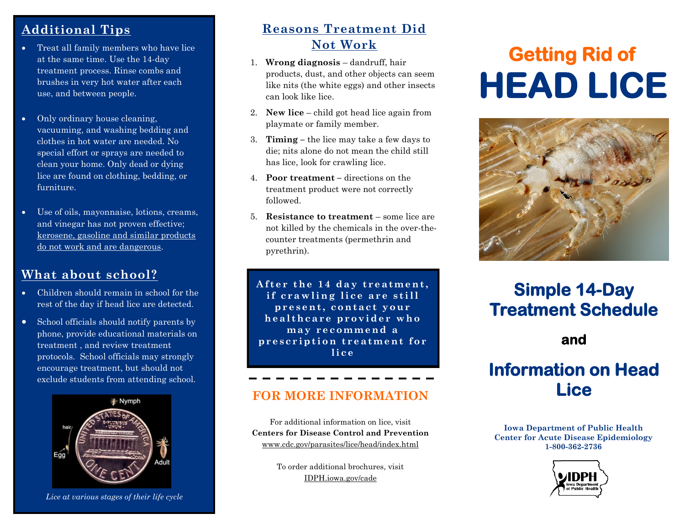## **Additional Tips**

- Treat all family members who have lice at the same time. Use the 14-day treatment process. Rinse combs and brushes in very hot water after each use, and between people.
- Only ordinary house cleaning, vacuuming, and washing bedding and clothes in hot water are needed. No special effort or sprays are needed to clean your home. Only dead or dying lice are found on clothing, bedding, or furniture.
- Use of oils, mayonnaise, lotions, creams, and vinegar has not proven effective; kerosene, gasoline and similar products do not work and are dangerous.

## **What about school?**

- Children should remain in school for the rest of the day if head lice are detected.
- School officials should notify parents by phone, provide educational materials on treatment , and review treatment protocols. School officials may strongly encourage treatment, but should not exclude students from attending school.



*Lice at various stages of their life cycle*

## **Reasons Treatment Did Not Work**

- 1. **Wrong diagnosis** dandruff, hair products, dust, and other objects can seem like nits (the white eggs) and other insects can look like lice.
- 2. **New lice** child got head lice again from playmate or family member.
- 3. **Timing –** the lice may take a few days to die; nits alone do not mean the child still has lice, look for crawling lice.
- 4. **Poor treatment –** directions on the treatment product were not correctly followed.
- 5. **Resistance to treatment**  some lice are not killed by the chemicals in the over-thecounter treatments (permethrin and pyrethrin).

After the 14 day treatment, if crawling lice are still **p r e s e n t , c o n t a c t y o u r h e a l t h c a r e p r o v i d e r w h o m a y r e c o m m e n d a**  prescription treatment for **l i c e**

### **FOR MORE INFORMATION**

For additional information on lice, visit **Centers for Disease Control and Prevention** www.cdc.gov/parasites/lice/head/index.html

> To order additional brochures, visit [IDPH.iowa.gov/cade](https://idph.iowa.gov/cade/)

# **Getting Rid of HEAD LICE**



## **Simple 14-Day Treatment Schedule**

## **and**

## **Information on Head Lice**

**Iowa Department of Public Health Center for Acute Disease Epidemiology 1-800-362-2736**